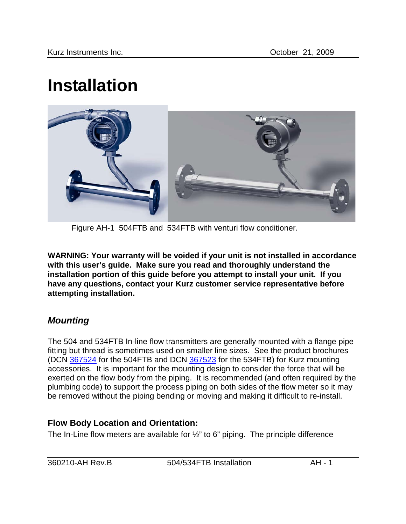# **Installation**



Figure AH-1 504FTB and 534FTB with venturi flow conditioner.

**WARNING: Your warranty will be voided if your unit is not installed in accordance with this user's guide. Make sure you read and thoroughly understand the installation portion of this guide before you attempt to install your unit. If you have any questions, contact your Kurz customer service representative before attempting installation.** 

## *Mounting*

The 504 and 534FTB In-line flow transmitters are generally mounted with a flange pipe fitting but thread is sometimes used on smaller line sizes. See the product brochures (DCN 367524 for the 504FTB and DCN 367523 for the 534FTB) for Kurz mounting accessories. It is important for the mounting design to consider the force that will be exerted on the flow body from the piping. It is recommended (and often required by the plumbing code) to support the process piping on both sides of the flow meter so it may be removed without the piping bending or moving and making it difficult to re-install.

## **Flow Body Location and Orientation:**

The In-Line flow meters are available for ½" to 6" piping. The principle difference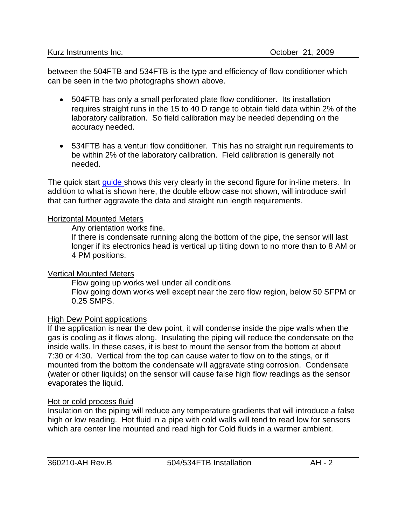between the 504FTB and 534FTB is the type and efficiency of flow conditioner which can be seen in the two photographs shown above.

- 504FTB has only a small perforated plate flow conditioner. Its installation requires straight runs in the 15 to 40 D range to obtain field data within 2% of the laboratory calibration. So field calibration may be needed depending on the accuracy needed.
- 534FTB has a venturi flow conditioner. This has no straight run requirements to be within 2% of the laboratory calibration. Field calibration is generally not needed.

The quick start quide shows this very clearly in the second figure for in-line meters. In addition to what is shown here, the double elbow case not shown, will introduce swirl that can further aggravate the data and straight run length requirements.

#### Horizontal Mounted Meters

Any orientation works fine.

If there is condensate running along the bottom of the pipe, the sensor will last longer if its electronics head is vertical up tilting down to no more than to 8 AM or 4 PM positions.

#### Vertical Mounted Meters

Flow going up works well under all conditions

Flow going down works well except near the zero flow region, below 50 SFPM or 0.25 SMPS.

#### **High Dew Point applications**

If the application is near the dew point, it will condense inside the pipe walls when the gas is cooling as it flows along. Insulating the piping will reduce the condensate on the inside walls. In these cases, it is best to mount the sensor from the bottom at about 7:30 or 4:30. Vertical from the top can cause water to flow on to the stings, or if mounted from the bottom the condensate will aggravate sting corrosion. Condensate (water or other liquids) on the sensor will cause false high flow readings as the sensor evaporates the liquid.

#### Hot or cold process fluid

Insulation on the piping will reduce any temperature gradients that will introduce a false high or low reading. Hot fluid in a pipe with cold walls will tend to read low for sensors which are center line mounted and read high for Cold fluids in a warmer ambient.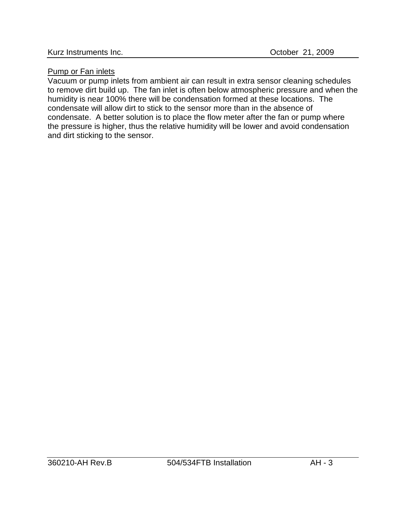#### Pump or Fan inlets

Vacuum or pump inlets from ambient air can result in extra sensor cleaning schedules to remove dirt build up. The fan inlet is often below atmospheric pressure and when the humidity is near 100% there will be condensation formed at these locations. The condensate will allow dirt to stick to the sensor more than in the absence of condensate. A better solution is to place the flow meter after the fan or pump where the pressure is higher, thus the relative humidity will be lower and avoid condensation and dirt sticking to the sensor.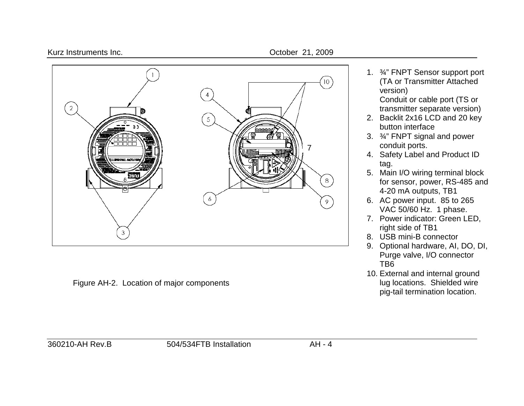



Figure AH-2. Location of major components

1. ¾" FNPT Sensor support port (TA or Transmitter Attached version)

Conduit or cable port (TS or transmitter separate version)

- 2. Backlit 2x16 LCD and 20 key button interface
- 3. ¾" FNPT signal and power conduit ports.
- 4. Safety Label and Product ID tag.
- 5. Main I/O wiring terminal block for sensor, power, RS-485 and 4-20 mA outputs, TB1
- 6. AC power input. 85 to 265 VAC 50/60 Hz. 1 phase.
- 7. Power indicator: Green LED, right side of TB1
- 8. USB mini-B connector
- 9. Optional hardware, AI, DO, DI, Purge valve, I/O connector TB6
- 10. External and internal ground lug locations. Shielded wire pig-tail termination location.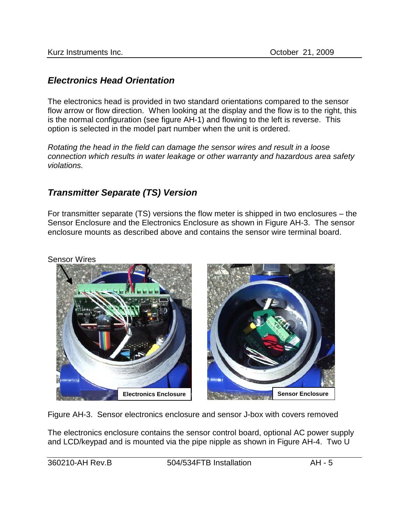## *Electronics Head Orientation*

The electronics head is provided in two standard orientations compared to the sensor flow arrow or flow direction. When looking at the display and the flow is to the right, this is the normal configuration (see figure AH-1) and flowing to the left is reverse. This option is selected in the model part number when the unit is ordered.

*Rotating the head in the field can damage the sensor wires and result in a loose connection which results in water leakage or other warranty and hazardous area safety violations.* 

## *Transmitter Separate (TS) Version*

For transmitter separate (TS) versions the flow meter is shipped in two enclosures – the Sensor Enclosure and the Electronics Enclosure as shown in Figure AH-3. The sensor enclosure mounts as described above and contains the sensor wire terminal board.

Sensor Wires



Figure AH-3. Sensor electronics enclosure and sensor J-box with covers removed

The electronics enclosure contains the sensor control board, optional AC power supply and LCD/keypad and is mounted via the pipe nipple as shown in Figure AH-4. Two U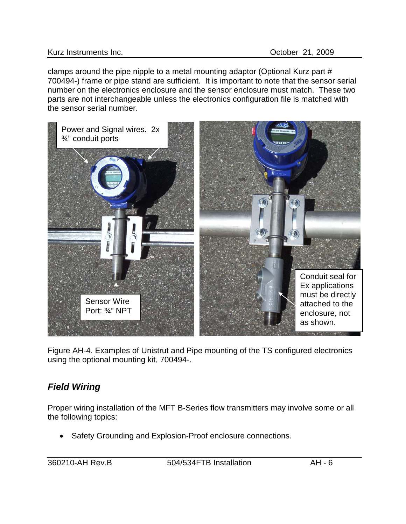clamps around the pipe nipple to a metal mounting adaptor (Optional Kurz part # 700494-) frame or pipe stand are sufficient. It is important to note that the sensor serial number on the electronics enclosure and the sensor enclosure must match. These two parts are not interchangeable unless the electronics configuration file is matched with the sensor serial number.



Figure AH-4. Examples of Unistrut and Pipe mounting of the TS configured electronics using the optional mounting kit, 700494-.

# *Field Wiring*

Proper wiring installation of the MFT B-Series flow transmitters may involve some or all the following topics:

• Safety Grounding and Explosion-Proof enclosure connections.

360210-AH Rev.B 504/534FTB Installation AH - 6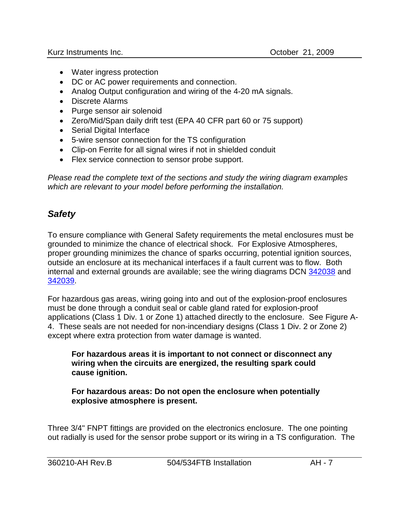- Water ingress protection
- DC or AC power requirements and connection.
- Analog Output configuration and wiring of the 4-20 mA signals.
- Discrete Alarms
- Purge sensor air solenoid
- Zero/Mid/Span daily drift test (EPA 40 CFR part 60 or 75 support)
- Serial Digital Interface
- 5-wire sensor connection for the TS configuration
- Clip-on Ferrite for all signal wires if not in shielded conduit
- Flex service connection to sensor probe support.

*Please read the complete text of the sections and study the wiring diagram examples which are relevant to your model before performing the installation.*

# *Safety*

To ensure compliance with General Safety requirements the metal enclosures must be grounded to minimize the chance of electrical shock. For Explosive Atmospheres, proper grounding minimizes the chance of sparks occurring, potential ignition sources, outside an enclosure at its mechanical interfaces if a fault current was to flow. Both internal and external grounds are available; see the wiring diagrams DCN 342038 and 342039.

For hazardous gas areas, wiring going into and out of the explosion-proof enclosures must be done through a conduit seal or cable gland rated for explosion-proof applications (Class 1 Div. 1 or Zone 1) attached directly to the enclosure. See Figure A-4. These seals are not needed for non-incendiary designs (Class 1 Div. 2 or Zone 2) except where extra protection from water damage is wanted.

**For hazardous areas it is important to not connect or disconnect any wiring when the circuits are energized, the resulting spark could cause ignition.**

**For hazardous areas: Do not open the enclosure when potentially explosive atmosphere is present.**

Three 3/4" FNPT fittings are provided on the electronics enclosure. The one pointing out radially is used for the sensor probe support or its wiring in a TS configuration. The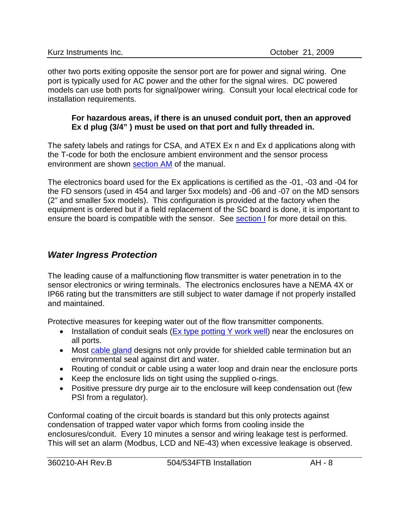other two ports exiting opposite the sensor port are for power and signal wiring. One port is typically used for AC power and the other for the signal wires. DC powered models can use both ports for signal/power wiring. Consult your local electrical code for installation requirements.

#### **For hazardous areas, if there is an unused conduit port, then an approved Ex d plug (3/4" ) must be used on that port and fully threaded in.**

The safety labels and ratings for CSA, and ATEX Ex n and Ex d applications along with the T-code for both the enclosure ambient environment and the sensor process environment are shown section AM of the manual.

The electronics board used for the Ex applications is certified as the -01, -03 and -04 for the FD sensors (used in 454 and larger 5xx models) and -06 and -07 on the MD sensors (2" and smaller 5xx models). This configuration is provided at the factory when the equipment is ordered but if a field replacement of the SC board is done, it is important to ensure the board is compatible with the sensor. See section I for more detail on this.

## *Water Ingress Protection*

The leading cause of a malfunctioning flow transmitter is water penetration in to the sensor electronics or wiring terminals. The electronics enclosures have a NEMA 4X or IP66 rating but the transmitters are still subject to water damage if not properly installed and maintained.

Protective measures for keeping water out of the flow transmitter components.

- Installation of conduit seals (Ex type potting Y work well) near the enclosures on all ports.
- Most cable gland designs not only provide for shielded cable termination but an environmental seal against dirt and water.
- Routing of conduit or cable using a water loop and drain near the enclosure ports
- Keep the enclosure lids on tight using the supplied o-rings.
- Positive pressure dry purge air to the enclosure will keep condensation out (few PSI from a regulator).

Conformal coating of the circuit boards is standard but this only protects against condensation of trapped water vapor which forms from cooling inside the enclosures/conduit. Every 10 minutes a sensor and wiring leakage test is performed. This will set an alarm (Modbus, LCD and NE-43) when excessive leakage is observed.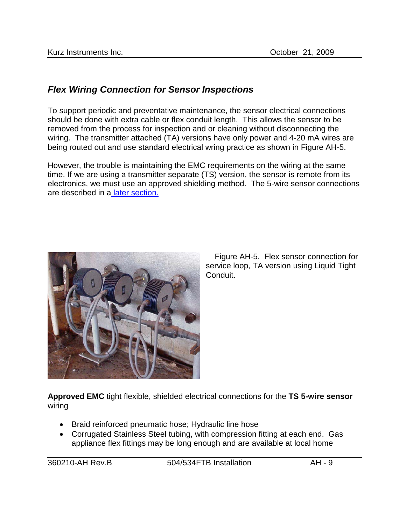# <span id="page-8-0"></span>*Flex Wiring Connection for Sensor Inspections*

To support periodic and preventative maintenance, the sensor electrical connections should be done with extra cable or flex conduit length. This allows the sensor to be removed from the process for inspection and or cleaning without disconnecting the wiring. The transmitter attached (TA) versions have only power and 4-20 mA wires are being routed out and use standard electrical wring practice as shown in Figure AH-5.

However, the trouble is maintaining the EMC requirements on the wiring at the same time. If we are using a transmitter separate (TS) version, the sensor is remote from its electronics, we must use an approved shielding method. The 5-wire sensor connections are described in a [later section.](#page-15-0)



 Figure AH-5. Flex sensor connection for service loop, TA version using Liquid Tight Conduit.

**Approved EMC** tight flexible, shielded electrical connections for the **TS 5-wire sensor** wiring

- Braid reinforced pneumatic hose; Hydraulic line hose
- Corrugated Stainless Steel tubing, with compression fitting at each end. Gas appliance flex fittings may be long enough and are available at local home

360210-AH Rev.B 504/534FTB Installation AH - 9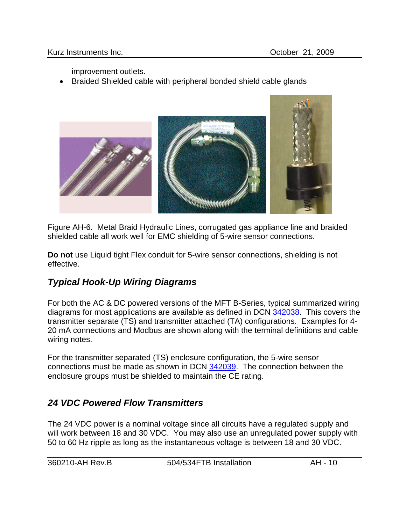improvement outlets.

• Braided Shielded cable with peripheral bonded shield cable glands



Figure AH-6. Metal Braid Hydraulic Lines, corrugated gas appliance line and braided shielded cable all work well for EMC shielding of 5-wire sensor connections.

**Do not** use Liquid tight Flex conduit for 5-wire sensor connections, shielding is not effective.

# *Typical Hook-Up Wiring Diagrams*

For both the AC & DC powered versions of the MFT B-Series, typical summarized wiring diagrams for most applications are available as defined in DCN 342038. This covers the transmitter separate (TS) and transmitter attached (TA) configurations. Examples for 4- 20 mA connections and Modbus are shown along with the terminal definitions and cable wiring notes.

For the transmitter separated (TS) enclosure configuration, the 5-wire sensor connections must be made as shown in DCN 342039. The connection between the enclosure groups must be shielded to maintain the CE rating.

# *24 VDC Powered Flow Transmitters*

The 24 VDC power is a nominal voltage since all circuits have a regulated supply and will work between 18 and 30 VDC. You may also use an unregulated power supply with 50 to 60 Hz ripple as long as the instantaneous voltage is between 18 and 30 VDC.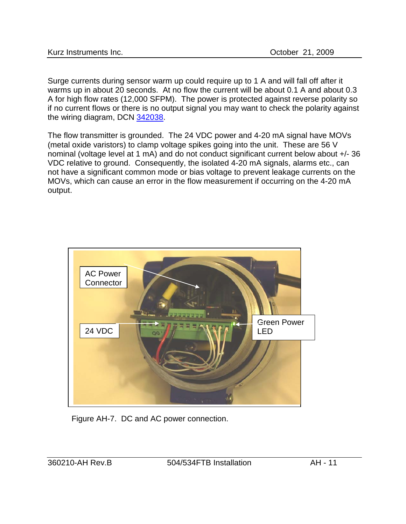| Kurz Instruments Inc. |  |
|-----------------------|--|
|-----------------------|--|

Surge currents during sensor warm up could require up to 1 A and will fall off after it warms up in about 20 seconds. At no flow the current will be about 0.1 A and about 0.3 A for high flow rates (12,000 SFPM). The power is protected against reverse polarity so if no current flows or there is no output signal you may want to check the polarity against the wiring diagram, DCN 342038.

The flow transmitter is grounded. The 24 VDC power and 4-20 mA signal have MOVs (metal oxide varistors) to clamp voltage spikes going into the unit. These are 56 V nominal (voltage level at 1 mA) and do not conduct significant current below about +/- 36 VDC relative to ground. Consequently, the isolated 4-20 mA signals, alarms etc., can not have a significant common mode or bias voltage to prevent leakage currents on the MOVs, which can cause an error in the flow measurement if occurring on the 4-20 mA output.



Figure AH-7. DC and AC power connection.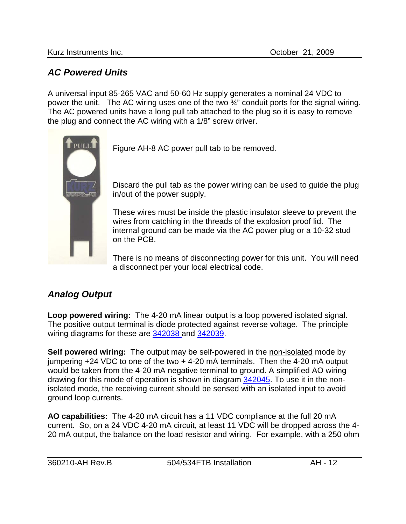## *AC Powered Units*

A universal input 85-265 VAC and 50-60 Hz supply generates a nominal 24 VDC to power the unit. The AC wiring uses one of the two ¾" conduit ports for the signal wiring. The AC powered units have a long pull tab attached to the plug so it is easy to remove the plug and connect the AC wiring with a 1/8" screw driver.



Figure AH-8 AC power pull tab to be removed.

Discard the pull tab as the power wiring can be used to guide the plug in/out of the power supply.

These wires must be inside the plastic insulator sleeve to prevent the wires from catching in the threads of the explosion proof lid. The internal ground can be made via the AC power plug or a 10-32 stud on the PCB.

There is no means of disconnecting power for this unit. You will need a disconnect per your local electrical code.

# *Analog Output*

**Loop powered wiring:** The 4-20 mA linear output is a loop powered isolated signal. The positive output terminal is diode protected against reverse voltage. The principle wiring diagrams for these are 342038 and 342039.

**Self powered wiring:** The output may be self-powered in the non-isolated mode by jumpering +24 VDC to one of the two + 4-20 mA terminals. Then the 4-20 mA output would be taken from the 4-20 mA negative terminal to ground. A simplified AO wiring drawing for this mode of operation is shown in diagram 342045. To use it in the nonisolated mode, the receiving current should be sensed with an isolated input to avoid ground loop currents.

**AO capabilities:** The 4-20 mA circuit has a 11 VDC compliance at the full 20 mA current. So, on a 24 VDC 4-20 mA circuit, at least 11 VDC will be dropped across the 4- 20 mA output, the balance on the load resistor and wiring. For example, with a 250 ohm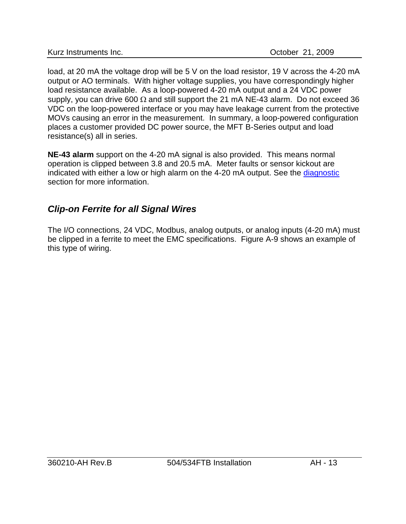load, at 20 mA the voltage drop will be 5 V on the load resistor, 19 V across the 4-20 mA output or AO terminals. With higher voltage supplies, you have correspondingly higher load resistance available. As a loop-powered 4-20 mA output and a 24 VDC power supply, you can drive 600  $\Omega$  and still support the 21 mA NE-43 alarm. Do not exceed 36 VDC on the loop-powered interface or you may have leakage current from the protective MOVs causing an error in the measurement. In summary, a loop-powered configuration places a customer provided DC power source, the MFT B-Series output and load resistance(s) all in series.

**NE-43 alarm** support on the 4-20 mA signal is also provided. This means normal operation is clipped between 3.8 and 20.5 mA. Meter faults or sensor kickout are indicated with either a low or high alarm on the 4-20 mA output. See the diagnostic section for more information.

# *Clip-on Ferrite for all Signal Wires*

The I/O connections, 24 VDC, Modbus, analog outputs, or analog inputs (4-20 mA) must be clipped in a ferrite to meet the EMC specifications. Figure A-9 shows an example of this type of wiring.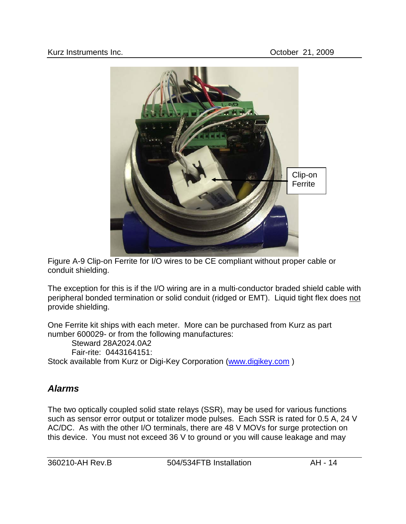

Figure A-9 Clip-on Ferrite for I/O wires to be CE compliant without proper cable or conduit shielding.

The exception for this is if the I/O wiring are in a multi-conductor braded shield cable with peripheral bonded termination or solid conduit (ridged or EMT). Liquid tight flex does not provide shielding.

One Ferrite kit ships with each meter. More can be purchased from Kurz as part number 600029- or from the following manufactures:

Steward 28A2024.0A2 Fair-rite: 0443164151: Stock available from Kurz or Digi-Key Corporation [\(www.digikey.com](http://www.digikey.com/) )

## *Alarms*

The two optically coupled solid state relays (SSR), may be used for various functions such as sensor error output or totalizer mode pulses. Each SSR is rated for 0.5 A, 24 V AC/DC. As with the other I/O terminals, there are 48 V MOVs for surge protection on this device. You must not exceed 36 V to ground or you will cause leakage and may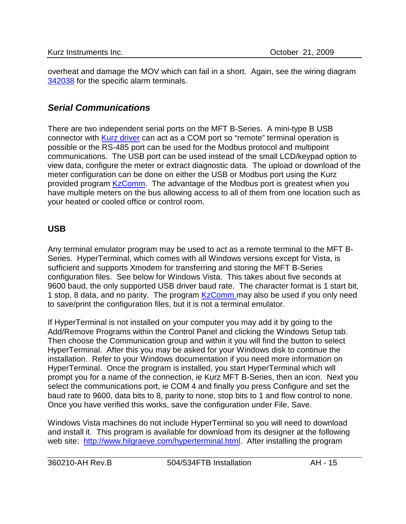overheat and damage the MOV which can fail in a short. Again, see the wiring diagram 342038 for the specific alarm terminals.

## *Serial Communications*

There are two independent serial ports on the MFT B-Series. A mini-type B USB connector with Kurz driver can act as a COM port so "remote" terminal operation is possible or the RS-485 port can be used for the Modbus protocol and multipoint communications. The USB port can be used instead of the small LCD/keypad option to view data, configure the meter or extract diagnostic data. The upload or download of the meter configuration can be done on either the USB or Modbus port using the Kurz provided program KzComm. The advantage of the Modbus port is greatest when you have multiple meters on the bus allowing access to all of them from one location such as your heated or cooled office or control room.

#### **USB**

Any terminal emulator program may be used to act as a remote terminal to the MFT B-Series. HyperTerminal, which comes with all Windows versions except for Vista, is sufficient and supports Xmodem for transferring and storing the MFT B-Series configuration files. See below for Windows Vista. This takes about five seconds at 9600 baud, the only supported USB driver baud rate. The character format is 1 start bit, 1 stop, 8 data, and no parity. The program KzComm may also be used if you only need to save/print the configuration files, but it is not a terminal emulator.

If HyperTerminal is not installed on your computer you may add it by going to the Add/Remove Programs within the Control Panel and clicking the Windows Setup tab. Then choose the Communication group and within it you will find the button to select HyperTerminal. After this you may be asked for your Windows disk to continue the installation. Refer to your Windows documentation if you need more information on HyperTerminal. Once the program is installed, you start HyperTerminal which will prompt you for a name of the connection, ie Kurz MFT B-Series, then an icon. Next you select the communications port, ie COM 4 and finally you press Configure and set the baud rate to 9600, data bits to 8, parity to none, stop bits to 1 and flow control to none. Once you have verified this works, save the configuration under File, Save.

Windows Vista machines do not include HyperTerminal so you will need to download and install it. This program is available for download from its designer at the following web site: [http://www.hilgraeve.com/hyperterminal.html.](http://www.hilgraeve.com/hyperterminal.html) After installing the program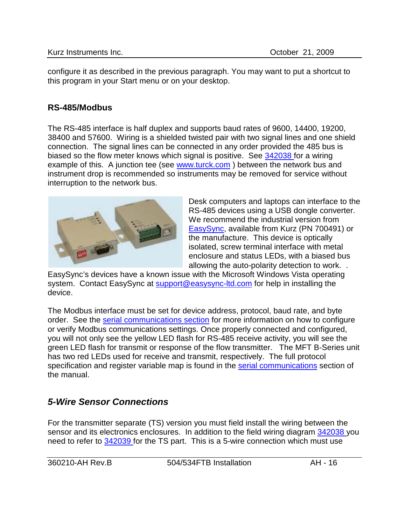configure it as described in the previous paragraph. You may want to put a shortcut to this program in your Start menu or on your desktop.

#### **RS-485/Modbus**

The RS-485 interface is half duplex and supports baud rates of 9600, 14400, 19200, 38400 and 57600. Wiring is a shielded twisted pair with two signal lines and one shield connection. The signal lines can be connected in any order provided the 485 bus is biased so the flow meter knows which signal is positive. See 342038 for a wiring example of this. A junction tee (see [www.turck.com](http://www.turck.com/)) between the network bus and instrument drop is recommended so instruments may be removed for service without interruption to the network bus.



Desk computers and laptops can interface to the RS-485 devices using a USB dongle converter. We recommend the industrial version from [EasySync,](http://www.easysync.co.uk/) available from Kurz (PN 700491) or the manufacture. This device is optically isolated, screw terminal interface with metal enclosure and status LEDs, with a biased bus allowing the auto-polarity detection to work. .

EasySync's devices have a known issue with the Microsoft Windows Vista operating system. Contact EasySync at [support@easysync-ltd.com](mailto:support@easysync-ltd.com) for help in installing the device.

The Modbus interface must be set for device address, protocol, baud rate, and byte order. See the serial communications section for more information on how to configure or verify Modbus communications settings. Once properly connected and configured, you will not only see the yellow LED flash for RS-485 receive activity, you will see the green LED flash for transmit or response of the flow transmitter. The MFT B-Series unit has two red LEDs used for receive and transmit, respectively. The full protocol specification and register variable map is found in the serial communications section of the manual.

## <span id="page-15-0"></span>*5-Wire Sensor Connections*

For the transmitter separate (TS) version you must field install the wiring between the sensor and its electronics enclosures. In addition to the field wiring diagram 342038 you need to refer to 342039 for the TS part. This is a 5-wire connection which must use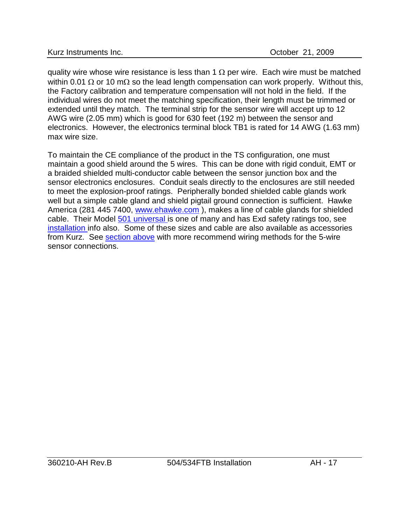quality wire whose wire resistance is less than 1  $\Omega$  per wire. Each wire must be matched within 0.01 Ω or 10 mΩ so the lead length compensation can work properly. Without this, the Factory calibration and temperature compensation will not hold in the field. If the individual wires do not meet the matching specification, their length must be trimmed or extended until they match. The terminal strip for the sensor wire will accept up to 12 AWG wire (2.05 mm) which is good for 630 feet (192 m) between the sensor and electronics. However, the electronics terminal block TB1 is rated for 14 AWG (1.63 mm) max wire size.

To maintain the CE compliance of the product in the TS configuration, one must maintain a good shield around the 5 wires. This can be done with rigid conduit, EMT or a braided shielded multi-conductor cable between the sensor junction box and the sensor electronics enclosures. Conduit seals directly to the enclosures are still needed to meet the explosion-proof ratings. Peripherally bonded shielded cable glands work well but a simple cable gland and shield pigtail ground connection is sufficient. Hawke America (281 445 7400, [www.ehawke.com](http://www.ehawke.com/)), makes a line of cable glands for shielded cable. Their Model 501 universal is one of many and has Exd safety ratings too, see installation info also. Some of these sizes and cable are also available as accessories from Kurz. See [section above](#page-8-0) with more recommend wiring methods for the 5-wire sensor connections.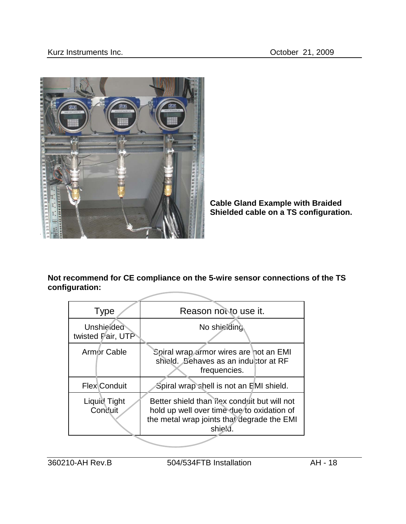

**Cable Gland Example with Braided Shielded cable on a TS configuration.**

**Not recommend for CE compliance on the 5-wire sensor connections of the TS configuration:**

| <b>Type</b>                                                                                                                                                                    | Reason not to use it.                                                                          |
|--------------------------------------------------------------------------------------------------------------------------------------------------------------------------------|------------------------------------------------------------------------------------------------|
| <b>Unshielded</b><br>twisted Pair, UTP                                                                                                                                         | No shiciding                                                                                   |
| Armor Cable                                                                                                                                                                    | Spiral wrap armor wires are not an EMI<br>shield. Behaves as an inductor at RF<br>frequencies. |
| <b>Flex</b> Conduit                                                                                                                                                            | Spiral wrap shell is not an EMI shield.                                                        |
| Better shield than ilex conduit but will not<br>Liquid Tight<br>Conduit<br>hold up well over time due to oxidation of<br>the metal wrap joints that degrade the EMI<br>shield. |                                                                                                |